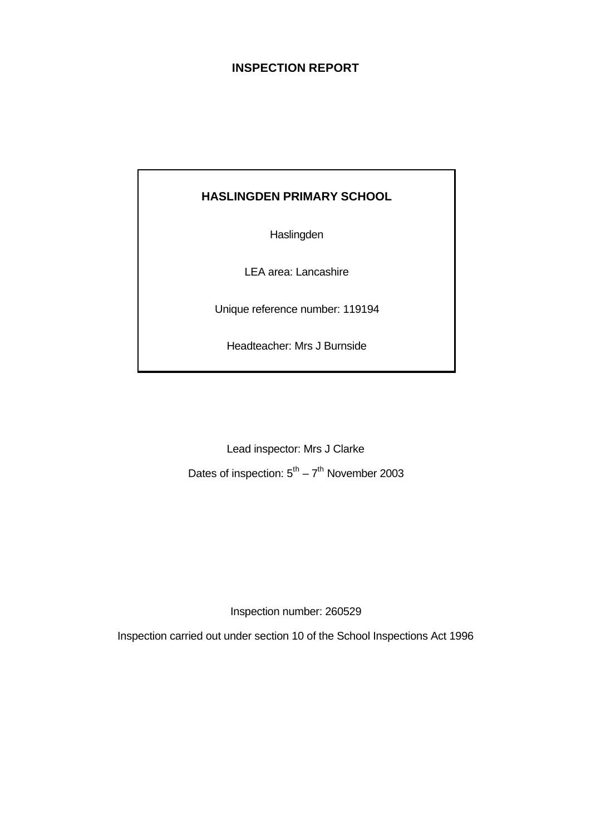## **INSPECTION REPORT**

## **HASLINGDEN PRIMARY SCHOOL**

**Haslingden** 

LEA area: Lancashire

Unique reference number: 119194

Headteacher: Mrs J Burnside

Lead inspector: Mrs J Clarke

Dates of inspection:  $5^{th} - 7^{th}$  November 2003

Inspection number: 260529

Inspection carried out under section 10 of the School Inspections Act 1996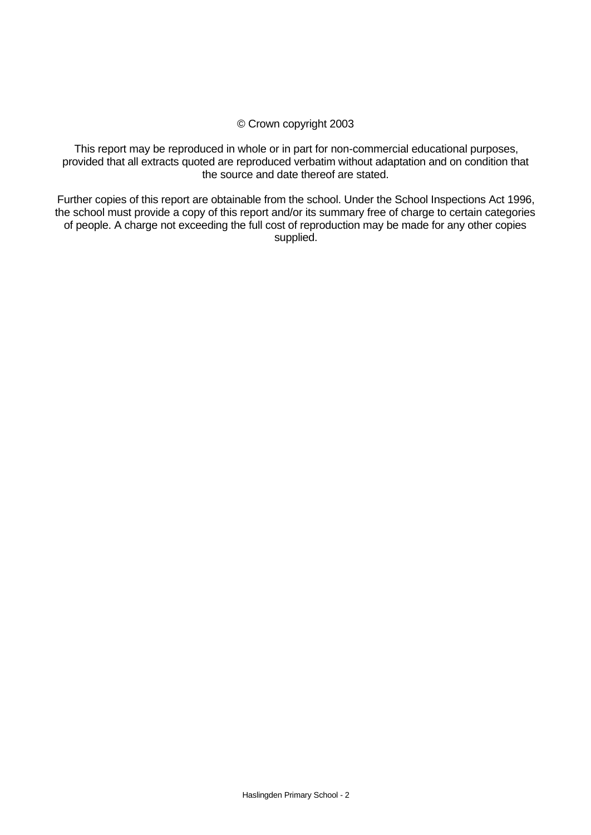#### © Crown copyright 2003

This report may be reproduced in whole or in part for non-commercial educational purposes, provided that all extracts quoted are reproduced verbatim without adaptation and on condition that the source and date thereof are stated.

Further copies of this report are obtainable from the school. Under the School Inspections Act 1996, the school must provide a copy of this report and/or its summary free of charge to certain categories of people. A charge not exceeding the full cost of reproduction may be made for any other copies supplied.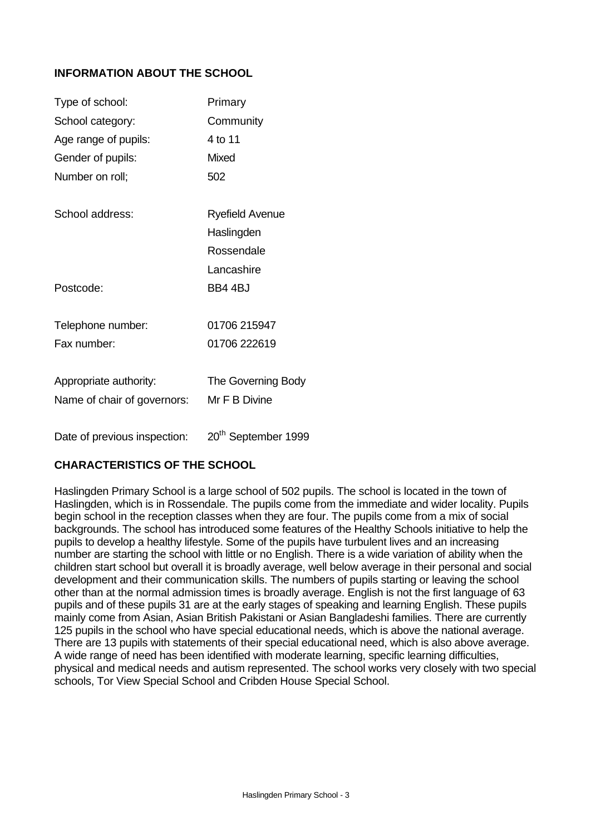## **INFORMATION ABOUT THE SCHOOL**

| Type of school:             | Primary            |
|-----------------------------|--------------------|
| School category:            | Community          |
| Age range of pupils:        | 4 to 11            |
| Gender of pupils:           | Mixed              |
| Number on roll;             | 502                |
| School address:             | Ryefield Avenue    |
|                             | Haslingden         |
|                             | Rossendale         |
|                             | Lancashire         |
| Postcode:                   | BB4 4BJ            |
| Telephone number:           | 01706 215947       |
| Fax number:                 | 01706 222619       |
| Appropriate authority:      | The Governing Body |
| Name of chair of governors: | Mr F B Divine      |
|                             | th.                |

Date of previous inspection: 20<sup>th</sup> September 1999

#### **CHARACTERISTICS OF THE SCHOOL**

Haslingden Primary School is a large school of 502 pupils. The school is located in the town of Haslingden, which is in Rossendale. The pupils come from the immediate and wider locality. Pupils begin school in the reception classes when they are four. The pupils come from a mix of social backgrounds. The school has introduced some features of the Healthy Schools initiative to help the pupils to develop a healthy lifestyle. Some of the pupils have turbulent lives and an increasing number are starting the school with little or no English. There is a wide variation of ability when the children start school but overall it is broadly average, well below average in their personal and social development and their communication skills. The numbers of pupils starting or leaving the school other than at the normal admission times is broadly average. English is not the first language of 63 pupils and of these pupils 31 are at the early stages of speaking and learning English. These pupils mainly come from Asian, Asian British Pakistani or Asian Bangladeshi families. There are currently 125 pupils in the school who have special educational needs, which is above the national average. There are 13 pupils with statements of their special educational need, which is also above average. A wide range of need has been identified with moderate learning, specific learning difficulties, physical and medical needs and autism represented. The school works very closely with two special schools, Tor View Special School and Cribden House Special School.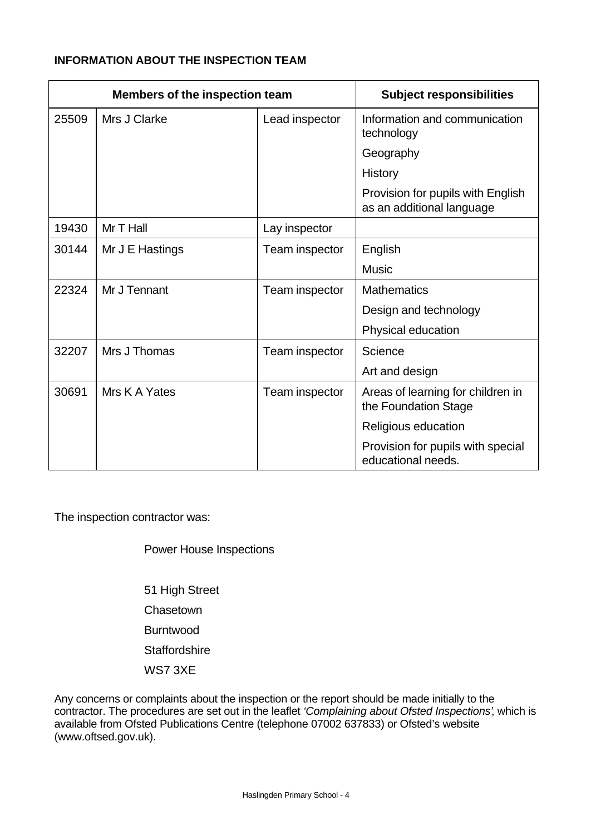## **INFORMATION ABOUT THE INSPECTION TEAM**

| <b>Members of the inspection team</b> |                 |                | <b>Subject responsibilities</b>                                |
|---------------------------------------|-----------------|----------------|----------------------------------------------------------------|
| 25509                                 | Mrs J Clarke    | Lead inspector | Information and communication<br>technology                    |
|                                       |                 |                | Geography                                                      |
|                                       |                 |                | <b>History</b>                                                 |
|                                       |                 |                | Provision for pupils with English<br>as an additional language |
| 19430                                 | Mr T Hall       | Lay inspector  |                                                                |
| 30144                                 | Mr J E Hastings | Team inspector | English                                                        |
|                                       |                 |                | <b>Music</b>                                                   |
| 22324                                 | Mr J Tennant    | Team inspector | <b>Mathematics</b>                                             |
|                                       |                 |                | Design and technology                                          |
|                                       |                 |                | Physical education                                             |
| 32207                                 | Mrs J Thomas    | Team inspector | Science                                                        |
|                                       |                 |                | Art and design                                                 |
| 30691                                 | Mrs K A Yates   | Team inspector | Areas of learning for children in<br>the Foundation Stage      |
|                                       |                 |                | Religious education                                            |
|                                       |                 |                | Provision for pupils with special<br>educational needs.        |

The inspection contractor was:

Power House Inspections

51 High Street **Chasetown** Burntwood **Staffordshire** WS7 3XE

Any concerns or complaints about the inspection or the report should be made initially to the contractor. The procedures are set out in the leaflet *'Complaining about Ofsted Inspections'*, which is available from Ofsted Publications Centre (telephone 07002 637833) or Ofsted's website (www.oftsed.gov.uk).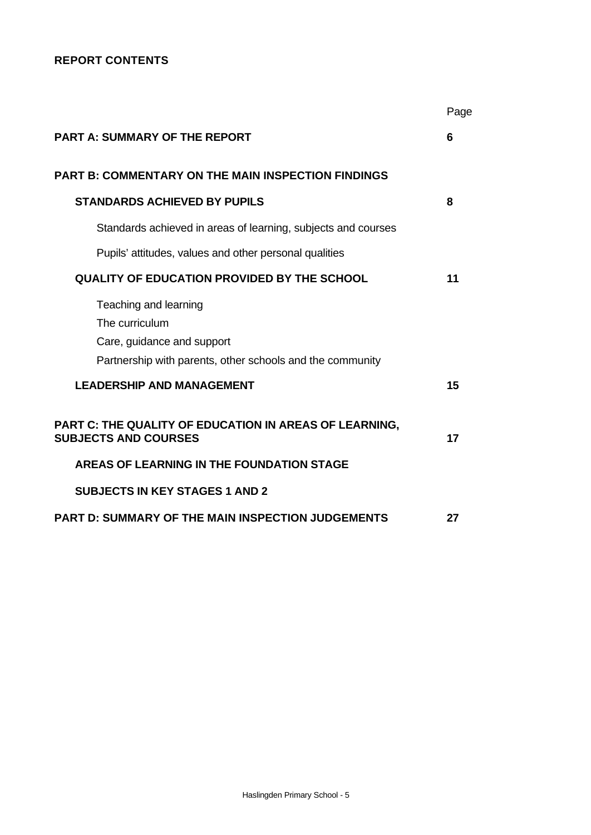## **REPORT CONTENTS**

|                                                                                                                                    | Page |
|------------------------------------------------------------------------------------------------------------------------------------|------|
| <b>PART A: SUMMARY OF THE REPORT</b>                                                                                               | 6    |
| <b>PART B: COMMENTARY ON THE MAIN INSPECTION FINDINGS</b>                                                                          |      |
| <b>STANDARDS ACHIEVED BY PUPILS</b>                                                                                                | 8    |
| Standards achieved in areas of learning, subjects and courses                                                                      |      |
| Pupils' attitudes, values and other personal qualities                                                                             |      |
| <b>QUALITY OF EDUCATION PROVIDED BY THE SCHOOL</b>                                                                                 | 11   |
| Teaching and learning<br>The curriculum<br>Care, guidance and support<br>Partnership with parents, other schools and the community |      |
| <b>LEADERSHIP AND MANAGEMENT</b>                                                                                                   | 15   |
| PART C: THE QUALITY OF EDUCATION IN AREAS OF LEARNING,<br><b>SUBJECTS AND COURSES</b>                                              | 17   |
| AREAS OF LEARNING IN THE FOUNDATION STAGE                                                                                          |      |
| <b>SUBJECTS IN KEY STAGES 1 AND 2</b>                                                                                              |      |
| <b>PART D: SUMMARY OF THE MAIN INSPECTION JUDGEMENTS</b>                                                                           | 27   |
|                                                                                                                                    |      |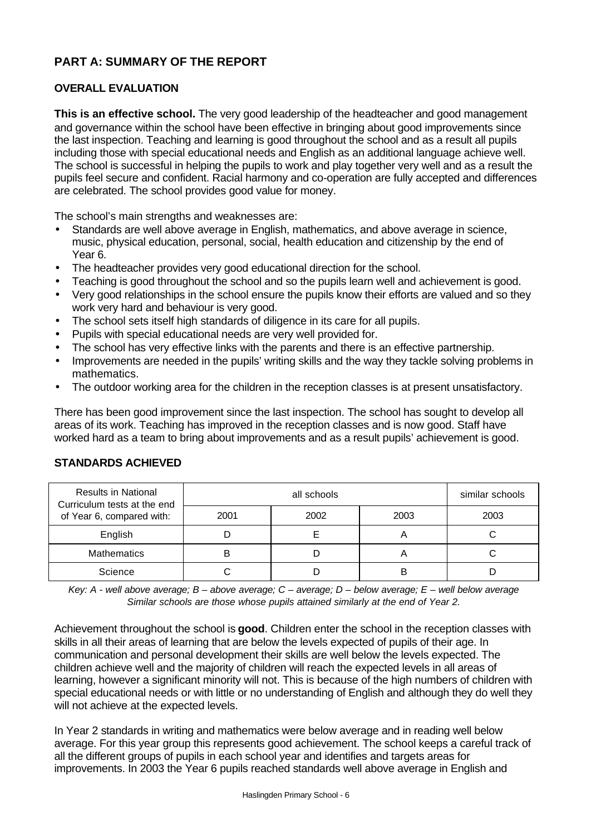## **PART A: SUMMARY OF THE REPORT**

## **OVERALL EVALUATION**

**This is an effective school.** The very good leadership of the headteacher and good management and governance within the school have been effective in bringing about good improvements since the last inspection. Teaching and learning is good throughout the school and as a result all pupils including those with special educational needs and English as an additional language achieve well. The school is successful in helping the pupils to work and play together very well and as a result the pupils feel secure and confident. Racial harmony and co-operation are fully accepted and differences are celebrated. The school provides good value for money.

The school's main strengths and weaknesses are:

- Standards are well above average in English, mathematics, and above average in science, music, physical education, personal, social, health education and citizenship by the end of Year 6.
- The headteacher provides very good educational direction for the school.
- Teaching is good throughout the school and so the pupils learn well and achievement is good.
- Very good relationships in the school ensure the pupils know their efforts are valued and so they work very hard and behaviour is very good.
- The school sets itself high standards of diligence in its care for all pupils.
- Pupils with special educational needs are very well provided for.
- The school has very effective links with the parents and there is an effective partnership.
- Improvements are needed in the pupils' writing skills and the way they tackle solving problems in mathematics.
- The outdoor working area for the children in the reception classes is at present unsatisfactory.

There has been good improvement since the last inspection. The school has sought to develop all areas of its work. Teaching has improved in the reception classes and is now good. Staff have worked hard as a team to bring about improvements and as a result pupils' achievement is good.

| <b>Results in National</b><br>Curriculum tests at the end<br>of Year 6, compared with: |      | similar schools |      |      |
|----------------------------------------------------------------------------------------|------|-----------------|------|------|
|                                                                                        | 2001 | 2002            | 2003 | 2003 |
| English                                                                                |      |                 | n    |      |
| <b>Mathematics</b>                                                                     | В    |                 | r    |      |
| Science                                                                                |      |                 | B    |      |

## **STANDARDS ACHIEVED**

*Key: A - well above average; B – above average; C – average; D – below average; E – well below average Similar schools are those whose pupils attained similarly at the end of Year 2.*

Achievement throughout the school is **good**. Children enter the school in the reception classes with skills in all their areas of learning that are below the levels expected of pupils of their age. In communication and personal development their skills are well below the levels expected. The children achieve well and the majority of children will reach the expected levels in all areas of learning, however a significant minority will not. This is because of the high numbers of children with special educational needs or with little or no understanding of English and although they do well they will not achieve at the expected levels.

In Year 2 standards in writing and mathematics were below average and in reading well below average. For this year group this represents good achievement. The school keeps a careful track of all the different groups of pupils in each school year and identifies and targets areas for improvements. In 2003 the Year 6 pupils reached standards well above average in English and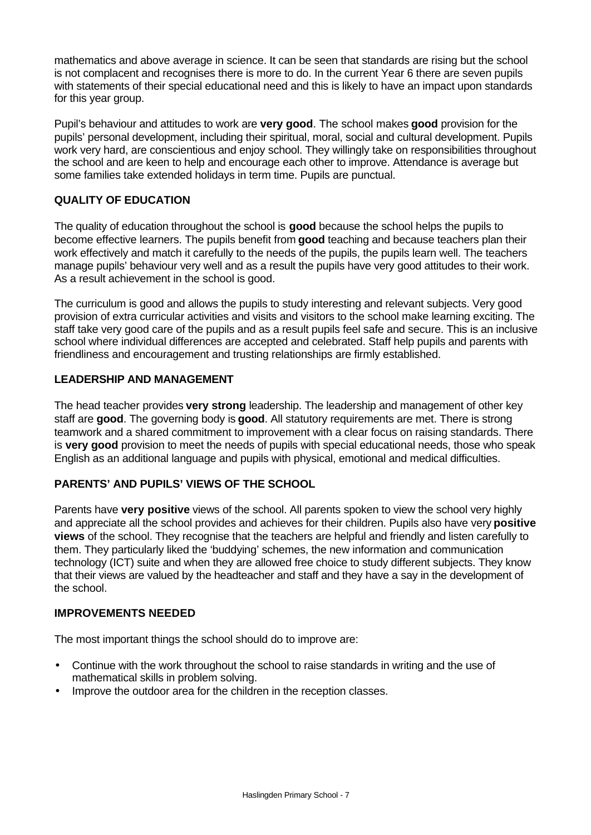mathematics and above average in science. It can be seen that standards are rising but the school is not complacent and recognises there is more to do. In the current Year 6 there are seven pupils with statements of their special educational need and this is likely to have an impact upon standards for this year group.

Pupil's behaviour and attitudes to work are **very good**. The school makes **good** provision for the pupils' personal development, including their spiritual, moral, social and cultural development. Pupils work very hard, are conscientious and enjoy school. They willingly take on responsibilities throughout the school and are keen to help and encourage each other to improve. Attendance is average but some families take extended holidays in term time. Pupils are punctual.

## **QUALITY OF EDUCATION**

The quality of education throughout the school is **good** because the school helps the pupils to become effective learners. The pupils benefit from **good** teaching and because teachers plan their work effectively and match it carefully to the needs of the pupils, the pupils learn well. The teachers manage pupils' behaviour very well and as a result the pupils have very good attitudes to their work. As a result achievement in the school is good.

The curriculum is good and allows the pupils to study interesting and relevant subjects. Very good provision of extra curricular activities and visits and visitors to the school make learning exciting. The staff take very good care of the pupils and as a result pupils feel safe and secure. This is an inclusive school where individual differences are accepted and celebrated. Staff help pupils and parents with friendliness and encouragement and trusting relationships are firmly established.

## **LEADERSHIP AND MANAGEMENT**

The head teacher provides **very strong** leadership. The leadership and management of other key staff are **good**. The governing body is **good**. All statutory requirements are met. There is strong teamwork and a shared commitment to improvement with a clear focus on raising standards. There is **very good** provision to meet the needs of pupils with special educational needs, those who speak English as an additional language and pupils with physical, emotional and medical difficulties.

## **PARENTS' AND PUPILS' VIEWS OF THE SCHOOL**

Parents have **very positive** views of the school. All parents spoken to view the school very highly and appreciate all the school provides and achieves for their children. Pupils also have very **positive views** of the school. They recognise that the teachers are helpful and friendly and listen carefully to them. They particularly liked the 'buddying' schemes, the new information and communication technology (ICT) suite and when they are allowed free choice to study different subjects. They know that their views are valued by the headteacher and staff and they have a say in the development of the school.

#### **IMPROVEMENTS NEEDED**

The most important things the school should do to improve are:

- Continue with the work throughout the school to raise standards in writing and the use of mathematical skills in problem solving.
- Improve the outdoor area for the children in the reception classes.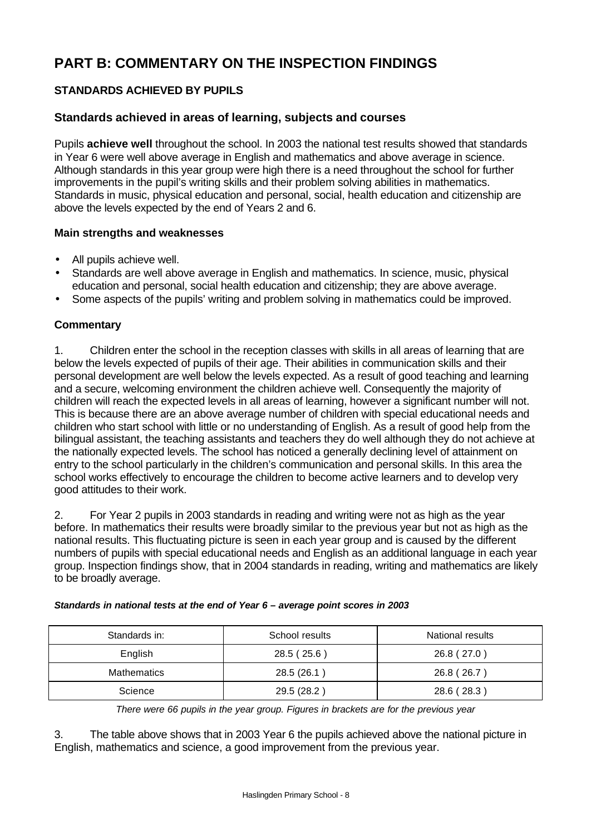# **PART B: COMMENTARY ON THE INSPECTION FINDINGS**

## **STANDARDS ACHIEVED BY PUPILS**

## **Standards achieved in areas of learning, subjects and courses**

Pupils **achieve well** throughout the school. In 2003 the national test results showed that standards in Year 6 were well above average in English and mathematics and above average in science. Although standards in this year group were high there is a need throughout the school for further improvements in the pupil's writing skills and their problem solving abilities in mathematics. Standards in music, physical education and personal, social, health education and citizenship are above the levels expected by the end of Years 2 and 6.

#### **Main strengths and weaknesses**

- All pupils achieve well.
- Standards are well above average in English and mathematics. In science, music, physical education and personal, social health education and citizenship; they are above average.
- Some aspects of the pupils' writing and problem solving in mathematics could be improved.

## **Commentary**

1. Children enter the school in the reception classes with skills in all areas of learning that are below the levels expected of pupils of their age. Their abilities in communication skills and their personal development are well below the levels expected. As a result of good teaching and learning and a secure, welcoming environment the children achieve well. Consequently the majority of children will reach the expected levels in all areas of learning, however a significant number will not. This is because there are an above average number of children with special educational needs and children who start school with little or no understanding of English. As a result of good help from the bilingual assistant, the teaching assistants and teachers they do well although they do not achieve at the nationally expected levels. The school has noticed a generally declining level of attainment on entry to the school particularly in the children's communication and personal skills. In this area the school works effectively to encourage the children to become active learners and to develop very good attitudes to their work.

2. For Year 2 pupils in 2003 standards in reading and writing were not as high as the year before. In mathematics their results were broadly similar to the previous year but not as high as the national results. This fluctuating picture is seen in each year group and is caused by the different numbers of pupils with special educational needs and English as an additional language in each year group. Inspection findings show, that in 2004 standards in reading, writing and mathematics are likely to be broadly average.

| Standards in: | School results | National results |
|---------------|----------------|------------------|
| English       | 28.5 (25.6)    | 26.8 (27.0)      |
| Mathematics   | 28.5 (26.1)    | 26.8 (26.7)      |
| Science       | 29.5 (28.2)    | 28.6 (28.3)      |

#### *Standards in national tests at the end of Year 6 – average point scores in 2003*

*There were 66 pupils in the year group. Figures in brackets are for the previous year*

3. The table above shows that in 2003 Year 6 the pupils achieved above the national picture in English, mathematics and science, a good improvement from the previous year.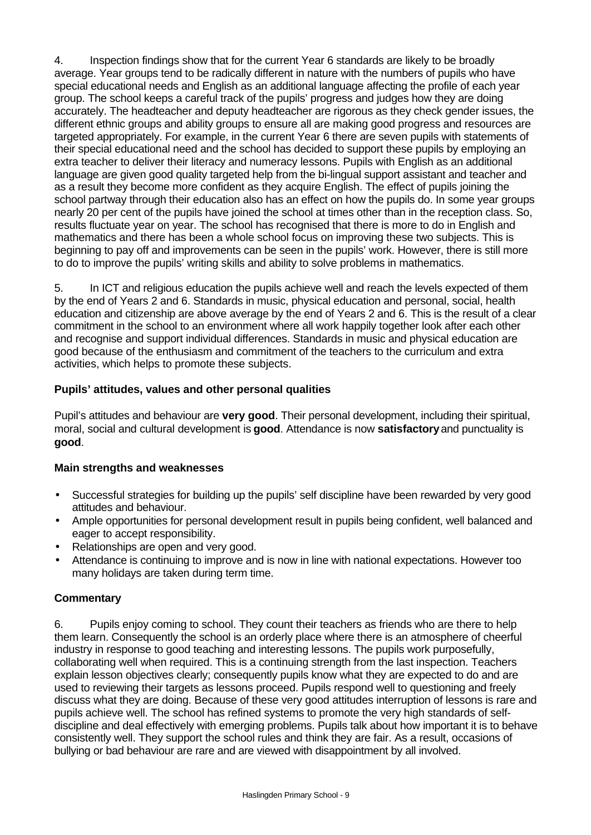4. Inspection findings show that for the current Year 6 standards are likely to be broadly average. Year groups tend to be radically different in nature with the numbers of pupils who have special educational needs and English as an additional language affecting the profile of each year group. The school keeps a careful track of the pupils' progress and judges how they are doing accurately. The headteacher and deputy headteacher are rigorous as they check gender issues, the different ethnic groups and ability groups to ensure all are making good progress and resources are targeted appropriately. For example, in the current Year 6 there are seven pupils with statements of their special educational need and the school has decided to support these pupils by employing an extra teacher to deliver their literacy and numeracy lessons. Pupils with English as an additional language are given good quality targeted help from the bi-lingual support assistant and teacher and as a result they become more confident as they acquire English. The effect of pupils joining the school partway through their education also has an effect on how the pupils do. In some year groups nearly 20 per cent of the pupils have joined the school at times other than in the reception class. So, results fluctuate year on year. The school has recognised that there is more to do in English and mathematics and there has been a whole school focus on improving these two subjects. This is beginning to pay off and improvements can be seen in the pupils' work. However, there is still more to do to improve the pupils' writing skills and ability to solve problems in mathematics.

5. In ICT and religious education the pupils achieve well and reach the levels expected of them by the end of Years 2 and 6. Standards in music, physical education and personal, social, health education and citizenship are above average by the end of Years 2 and 6. This is the result of a clear commitment in the school to an environment where all work happily together look after each other and recognise and support individual differences. Standards in music and physical education are good because of the enthusiasm and commitment of the teachers to the curriculum and extra activities, which helps to promote these subjects.

## **Pupils' attitudes, values and other personal qualities**

Pupil's attitudes and behaviour are **very good**. Their personal development, including their spiritual, moral, social and cultural development is **good**. Attendance is now **satisfactory** and punctuality is **good**.

## **Main strengths and weaknesses**

- Successful strategies for building up the pupils' self discipline have been rewarded by very good attitudes and behaviour.
- Ample opportunities for personal development result in pupils being confident, well balanced and eager to accept responsibility.
- Relationships are open and very good.
- Attendance is continuing to improve and is now in line with national expectations. However too many holidays are taken during term time.

## **Commentary**

6. Pupils enjoy coming to school. They count their teachers as friends who are there to help them learn. Consequently the school is an orderly place where there is an atmosphere of cheerful industry in response to good teaching and interesting lessons. The pupils work purposefully, collaborating well when required. This is a continuing strength from the last inspection. Teachers explain lesson objectives clearly; consequently pupils know what they are expected to do and are used to reviewing their targets as lessons proceed. Pupils respond well to questioning and freely discuss what they are doing. Because of these very good attitudes interruption of lessons is rare and pupils achieve well. The school has refined systems to promote the very high standards of selfdiscipline and deal effectively with emerging problems. Pupils talk about how important it is to behave consistently well. They support the school rules and think they are fair. As a result, occasions of bullying or bad behaviour are rare and are viewed with disappointment by all involved.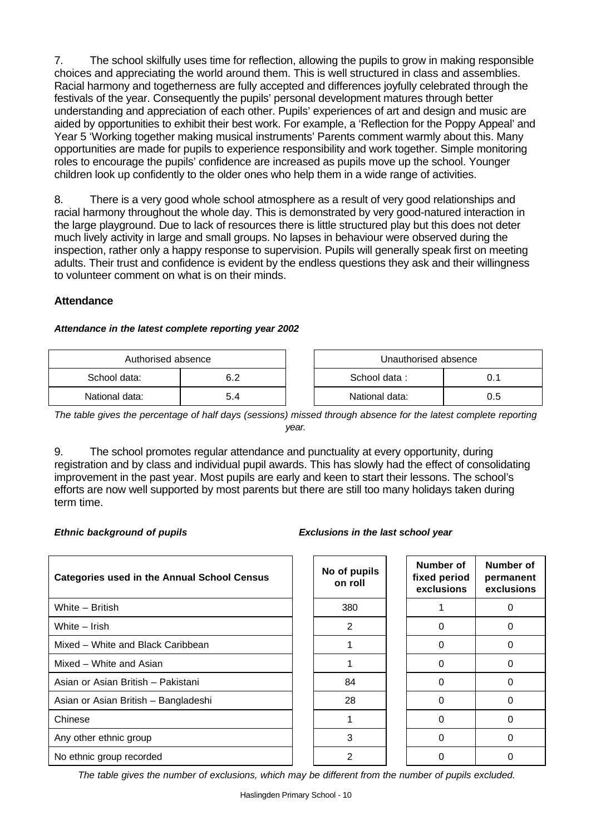7. The school skilfully uses time for reflection, allowing the pupils to grow in making responsible choices and appreciating the world around them. This is well structured in class and assemblies. Racial harmony and togetherness are fully accepted and differences joyfully celebrated through the festivals of the year. Consequently the pupils' personal development matures through better understanding and appreciation of each other. Pupils' experiences of art and design and music are aided by opportunities to exhibit their best work. For example, a 'Reflection for the Poppy Appeal' and Year 5 'Working together making musical instruments' Parents comment warmly about this. Many opportunities are made for pupils to experience responsibility and work together. Simple monitoring roles to encourage the pupils' confidence are increased as pupils move up the school. Younger children look up confidently to the older ones who help them in a wide range of activities.

8. There is a very good whole school atmosphere as a result of very good relationships and racial harmony throughout the whole day. This is demonstrated by very good-natured interaction in the large playground. Due to lack of resources there is little structured play but this does not deter much lively activity in large and small groups. No lapses in behaviour were observed during the inspection, rather only a happy response to supervision. Pupils will generally speak first on meeting adults. Their trust and confidence is evident by the endless questions they ask and their willingness to volunteer comment on what is on their minds.

#### **Attendance**

#### *Attendance in the latest complete reporting year 2002*

| Authorised absence |     |  | Unauthorised absence |     |
|--------------------|-----|--|----------------------|-----|
| School data:       | 6.2 |  | School data:         |     |
| National data:     | 5.4 |  | National data:       | 0.5 |

uthorised absence

*The table gives the percentage of half days (sessions) missed through absence for the latest complete reporting year.*

9. The school promotes regular attendance and punctuality at every opportunity, during registration and by class and individual pupil awards. This has slowly had the effect of consolidating improvement in the past year. Most pupils are early and keen to start their lessons. The school's efforts are now well supported by most parents but there are still too many holidays taken during term time.

#### *Ethnic background of pupils Exclusions in the last school year*

| <b>Categories used in the Annual School Census</b> | No of pupils<br>on roll | Number of<br>fixed period<br>exclusions | Number of<br>permanent<br>exclusions |
|----------------------------------------------------|-------------------------|-----------------------------------------|--------------------------------------|
| White - British                                    | 380                     |                                         |                                      |
| White - Irish                                      | 2                       | 0                                       | 0                                    |
| Mixed - White and Black Caribbean                  |                         | ი                                       |                                      |
| Mixed - White and Asian                            |                         | O                                       |                                      |
| Asian or Asian British - Pakistani                 | 84                      | 0                                       | ი                                    |
| Asian or Asian British - Bangladeshi               | 28                      | ŋ                                       |                                      |
| Chinese                                            |                         | O                                       |                                      |
| Any other ethnic group                             | 3                       | 0                                       | ი                                    |
| No ethnic group recorded                           | 2                       |                                         |                                      |

*The table gives the number of exclusions, which may be different from the number of pupils excluded.*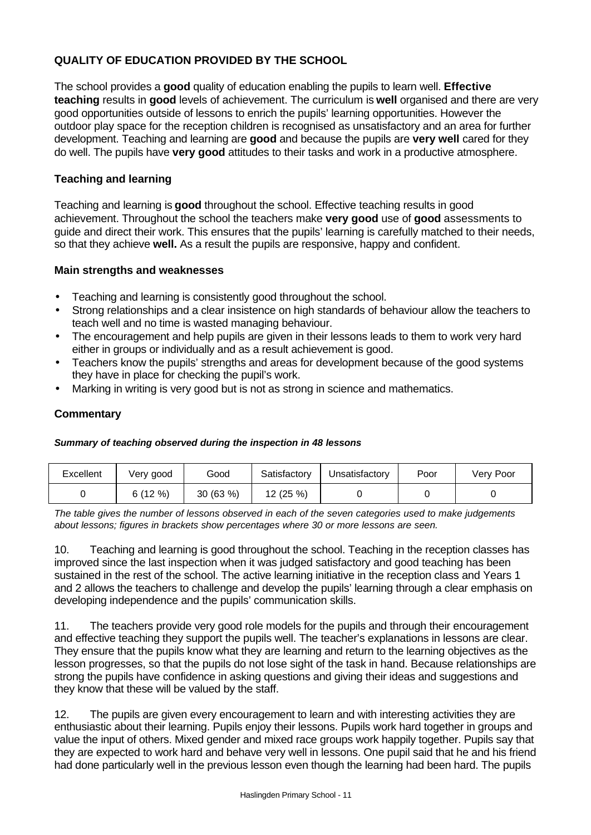## **QUALITY OF EDUCATION PROVIDED BY THE SCHOOL**

The school provides a **good** quality of education enabling the pupils to learn well. **Effective teaching** results in **good** levels of achievement. The curriculum is **well** organised and there are very good opportunities outside of lessons to enrich the pupils' learning opportunities. However the outdoor play space for the reception children is recognised as unsatisfactory and an area for further development. Teaching and learning are **good** and because the pupils are **very well** cared for they do well. The pupils have **very good** attitudes to their tasks and work in a productive atmosphere.

## **Teaching and learning**

Teaching and learning is **good** throughout the school. Effective teaching results in good achievement. Throughout the school the teachers make **very good** use of **good** assessments to guide and direct their work. This ensures that the pupils' learning is carefully matched to their needs, so that they achieve **well.** As a result the pupils are responsive, happy and confident.

#### **Main strengths and weaknesses**

- Teaching and learning is consistently good throughout the school.
- Strong relationships and a clear insistence on high standards of behaviour allow the teachers to teach well and no time is wasted managing behaviour.
- The encouragement and help pupils are given in their lessons leads to them to work very hard either in groups or individually and as a result achievement is good.
- Teachers know the pupils' strengths and areas for development because of the good systems they have in place for checking the pupil's work.
- Marking in writing is very good but is not as strong in science and mathematics.

## **Commentary**

#### *Summary of teaching observed during the inspection in 48 lessons*

| Excellent | Very good | Good    | Satisfactory | Jnsatisfactorv | Poor | Very Poor |
|-----------|-----------|---------|--------------|----------------|------|-----------|
|           | 6(12%)    | 30(63%) | 12 (25 %)    |                |      |           |

*The table gives the number of lessons observed in each of the seven categories used to make judgements about lessons; figures in brackets show percentages where 30 or more lessons are seen.*

10. Teaching and learning is good throughout the school. Teaching in the reception classes has improved since the last inspection when it was judged satisfactory and good teaching has been sustained in the rest of the school. The active learning initiative in the reception class and Years 1 and 2 allows the teachers to challenge and develop the pupils' learning through a clear emphasis on developing independence and the pupils' communication skills.

11. The teachers provide very good role models for the pupils and through their encouragement and effective teaching they support the pupils well. The teacher's explanations in lessons are clear. They ensure that the pupils know what they are learning and return to the learning objectives as the lesson progresses, so that the pupils do not lose sight of the task in hand. Because relationships are strong the pupils have confidence in asking questions and giving their ideas and suggestions and they know that these will be valued by the staff.

12. The pupils are given every encouragement to learn and with interesting activities they are enthusiastic about their learning. Pupils enjoy their lessons. Pupils work hard together in groups and value the input of others. Mixed gender and mixed race groups work happily together. Pupils say that they are expected to work hard and behave very well in lessons. One pupil said that he and his friend had done particularly well in the previous lesson even though the learning had been hard. The pupils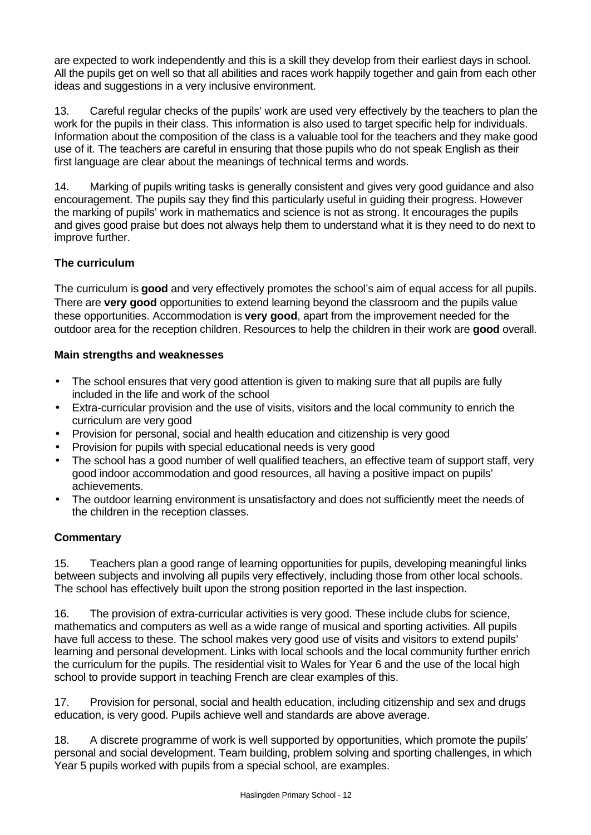are expected to work independently and this is a skill they develop from their earliest days in school. All the pupils get on well so that all abilities and races work happily together and gain from each other ideas and suggestions in a very inclusive environment.

13. Careful regular checks of the pupils' work are used very effectively by the teachers to plan the work for the pupils in their class. This information is also used to target specific help for individuals. Information about the composition of the class is a valuable tool for the teachers and they make good use of it. The teachers are careful in ensuring that those pupils who do not speak English as their first language are clear about the meanings of technical terms and words.

14. Marking of pupils writing tasks is generally consistent and gives very good guidance and also encouragement. The pupils say they find this particularly useful in guiding their progress. However the marking of pupils' work in mathematics and science is not as strong. It encourages the pupils and gives good praise but does not always help them to understand what it is they need to do next to improve further.

## **The curriculum**

The curriculum is **good** and very effectively promotes the school's aim of equal access for all pupils. There are **very good** opportunities to extend learning beyond the classroom and the pupils value these opportunities. Accommodation is **very good**, apart from the improvement needed for the outdoor area for the reception children. Resources to help the children in their work are **good** overall.

## **Main strengths and weaknesses**

- The school ensures that very good attention is given to making sure that all pupils are fully included in the life and work of the school
- Extra-curricular provision and the use of visits, visitors and the local community to enrich the curriculum are very good
- Provision for personal, social and health education and citizenship is very good
- Provision for pupils with special educational needs is very good
- The school has a good number of well qualified teachers, an effective team of support staff, very good indoor accommodation and good resources, all having a positive impact on pupils' achievements.
- The outdoor learning environment is unsatisfactory and does not sufficiently meet the needs of the children in the reception classes.

## **Commentary**

15. Teachers plan a good range of learning opportunities for pupils, developing meaningful links between subjects and involving all pupils very effectively, including those from other local schools. The school has effectively built upon the strong position reported in the last inspection.

16. The provision of extra-curricular activities is very good. These include clubs for science, mathematics and computers as well as a wide range of musical and sporting activities. All pupils have full access to these. The school makes very good use of visits and visitors to extend pupils' learning and personal development. Links with local schools and the local community further enrich the curriculum for the pupils. The residential visit to Wales for Year 6 and the use of the local high school to provide support in teaching French are clear examples of this.

17. Provision for personal, social and health education, including citizenship and sex and drugs education, is very good. Pupils achieve well and standards are above average.

18. A discrete programme of work is well supported by opportunities, which promote the pupils' personal and social development. Team building, problem solving and sporting challenges, in which Year 5 pupils worked with pupils from a special school, are examples.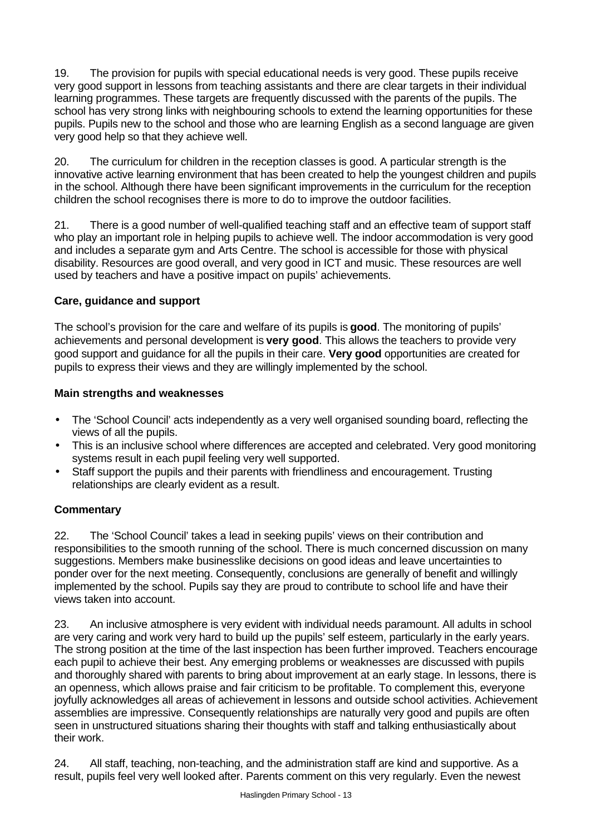19. The provision for pupils with special educational needs is very good. These pupils receive very good support in lessons from teaching assistants and there are clear targets in their individual learning programmes. These targets are frequently discussed with the parents of the pupils. The school has very strong links with neighbouring schools to extend the learning opportunities for these pupils. Pupils new to the school and those who are learning English as a second language are given very good help so that they achieve well.

20. The curriculum for children in the reception classes is good. A particular strength is the innovative active learning environment that has been created to help the youngest children and pupils in the school. Although there have been significant improvements in the curriculum for the reception children the school recognises there is more to do to improve the outdoor facilities.

21. There is a good number of well-qualified teaching staff and an effective team of support staff who play an important role in helping pupils to achieve well. The indoor accommodation is very good and includes a separate gym and Arts Centre. The school is accessible for those with physical disability. Resources are good overall, and very good in ICT and music. These resources are well used by teachers and have a positive impact on pupils' achievements.

## **Care, guidance and support**

The school's provision for the care and welfare of its pupils is **good**. The monitoring of pupils' achievements and personal development is **very good**. This allows the teachers to provide very good support and guidance for all the pupils in their care. **Very good** opportunities are created for pupils to express their views and they are willingly implemented by the school.

## **Main strengths and weaknesses**

- The 'School Council' acts independently as a very well organised sounding board, reflecting the views of all the pupils.
- This is an inclusive school where differences are accepted and celebrated. Very good monitoring systems result in each pupil feeling very well supported.
- Staff support the pupils and their parents with friendliness and encouragement. Trusting relationships are clearly evident as a result.

## **Commentary**

22. The 'School Council' takes a lead in seeking pupils' views on their contribution and responsibilities to the smooth running of the school. There is much concerned discussion on many suggestions. Members make businesslike decisions on good ideas and leave uncertainties to ponder over for the next meeting. Consequently, conclusions are generally of benefit and willingly implemented by the school. Pupils say they are proud to contribute to school life and have their views taken into account.

23. An inclusive atmosphere is very evident with individual needs paramount. All adults in school are very caring and work very hard to build up the pupils' self esteem, particularly in the early years. The strong position at the time of the last inspection has been further improved. Teachers encourage each pupil to achieve their best. Any emerging problems or weaknesses are discussed with pupils and thoroughly shared with parents to bring about improvement at an early stage. In lessons, there is an openness, which allows praise and fair criticism to be profitable. To complement this, everyone joyfully acknowledges all areas of achievement in lessons and outside school activities. Achievement assemblies are impressive. Consequently relationships are naturally very good and pupils are often seen in unstructured situations sharing their thoughts with staff and talking enthusiastically about their work.

24. All staff, teaching, non-teaching, and the administration staff are kind and supportive. As a result, pupils feel very well looked after. Parents comment on this very regularly. Even the newest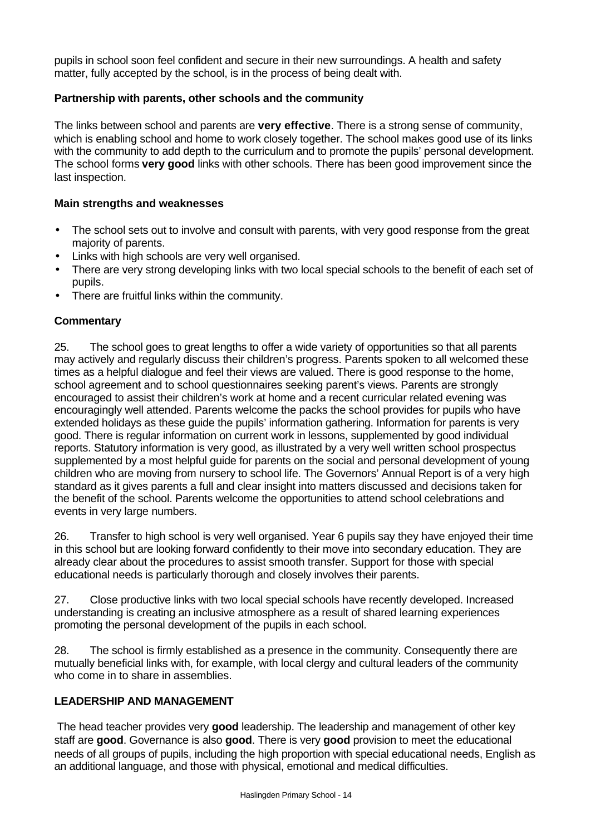pupils in school soon feel confident and secure in their new surroundings. A health and safety matter, fully accepted by the school, is in the process of being dealt with.

#### **Partnership with parents, other schools and the community**

The links between school and parents are **very effective**. There is a strong sense of community, which is enabling school and home to work closely together. The school makes good use of its links with the community to add depth to the curriculum and to promote the pupils' personal development. The school forms **very good** links with other schools. There has been good improvement since the last inspection.

## **Main strengths and weaknesses**

- The school sets out to involve and consult with parents, with very good response from the great majority of parents.
- Links with high schools are very well organised.
- There are very strong developing links with two local special schools to the benefit of each set of pupils.
- There are fruitful links within the community.

## **Commentary**

25. The school goes to great lengths to offer a wide variety of opportunities so that all parents may actively and regularly discuss their children's progress. Parents spoken to all welcomed these times as a helpful dialogue and feel their views are valued. There is good response to the home, school agreement and to school questionnaires seeking parent's views. Parents are strongly encouraged to assist their children's work at home and a recent curricular related evening was encouragingly well attended. Parents welcome the packs the school provides for pupils who have extended holidays as these guide the pupils' information gathering. Information for parents is very good. There is regular information on current work in lessons, supplemented by good individual reports. Statutory information is very good, as illustrated by a very well written school prospectus supplemented by a most helpful guide for parents on the social and personal development of young children who are moving from nursery to school life. The Governors' Annual Report is of a very high standard as it gives parents a full and clear insight into matters discussed and decisions taken for the benefit of the school. Parents welcome the opportunities to attend school celebrations and events in very large numbers.

26. Transfer to high school is very well organised. Year 6 pupils say they have enjoyed their time in this school but are looking forward confidently to their move into secondary education. They are already clear about the procedures to assist smooth transfer. Support for those with special educational needs is particularly thorough and closely involves their parents.

27. Close productive links with two local special schools have recently developed. Increased understanding is creating an inclusive atmosphere as a result of shared learning experiences promoting the personal development of the pupils in each school.

28. The school is firmly established as a presence in the community. Consequently there are mutually beneficial links with, for example, with local clergy and cultural leaders of the community who come in to share in assemblies.

#### **LEADERSHIP AND MANAGEMENT**

 The head teacher provides very **good** leadership. The leadership and management of other key staff are **good**. Governance is also **good**. There is very **good** provision to meet the educational needs of all groups of pupils, including the high proportion with special educational needs, English as an additional language, and those with physical, emotional and medical difficulties.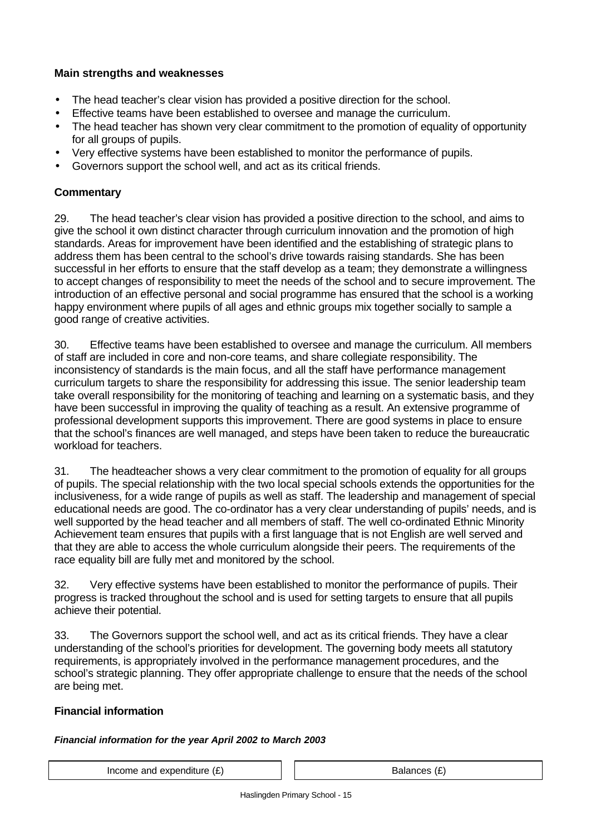## **Main strengths and weaknesses**

- The head teacher's clear vision has provided a positive direction for the school.
- Effective teams have been established to oversee and manage the curriculum.
- The head teacher has shown very clear commitment to the promotion of equality of opportunity for all groups of pupils.
- Very effective systems have been established to monitor the performance of pupils.
- Governors support the school well, and act as its critical friends.

## **Commentary**

29. The head teacher's clear vision has provided a positive direction to the school, and aims to give the school it own distinct character through curriculum innovation and the promotion of high standards. Areas for improvement have been identified and the establishing of strategic plans to address them has been central to the school's drive towards raising standards. She has been successful in her efforts to ensure that the staff develop as a team; they demonstrate a willingness to accept changes of responsibility to meet the needs of the school and to secure improvement. The introduction of an effective personal and social programme has ensured that the school is a working happy environment where pupils of all ages and ethnic groups mix together socially to sample a good range of creative activities.

30. Effective teams have been established to oversee and manage the curriculum. All members of staff are included in core and non-core teams, and share collegiate responsibility. The inconsistency of standards is the main focus, and all the staff have performance management curriculum targets to share the responsibility for addressing this issue. The senior leadership team take overall responsibility for the monitoring of teaching and learning on a systematic basis, and they have been successful in improving the quality of teaching as a result. An extensive programme of professional development supports this improvement. There are good systems in place to ensure that the school's finances are well managed, and steps have been taken to reduce the bureaucratic workload for teachers.

31. The headteacher shows a very clear commitment to the promotion of equality for all groups of pupils. The special relationship with the two local special schools extends the opportunities for the inclusiveness, for a wide range of pupils as well as staff. The leadership and management of special educational needs are good. The co-ordinator has a very clear understanding of pupils' needs, and is well supported by the head teacher and all members of staff. The well co-ordinated Ethnic Minority Achievement team ensures that pupils with a first language that is not English are well served and that they are able to access the whole curriculum alongside their peers. The requirements of the race equality bill are fully met and monitored by the school.

32. Very effective systems have been established to monitor the performance of pupils. Their progress is tracked throughout the school and is used for setting targets to ensure that all pupils achieve their potential.

33. The Governors support the school well, and act as its critical friends. They have a clear understanding of the school's priorities for development. The governing body meets all statutory requirements, is appropriately involved in the performance management procedures, and the school's strategic planning. They offer appropriate challenge to ensure that the needs of the school are being met.

## **Financial information**

#### *Financial information for the year April 2002 to March 2003*

Income and expenditure  $(E)$   $\qquad$   $\qquad$   $\qquad$  Balances  $(E)$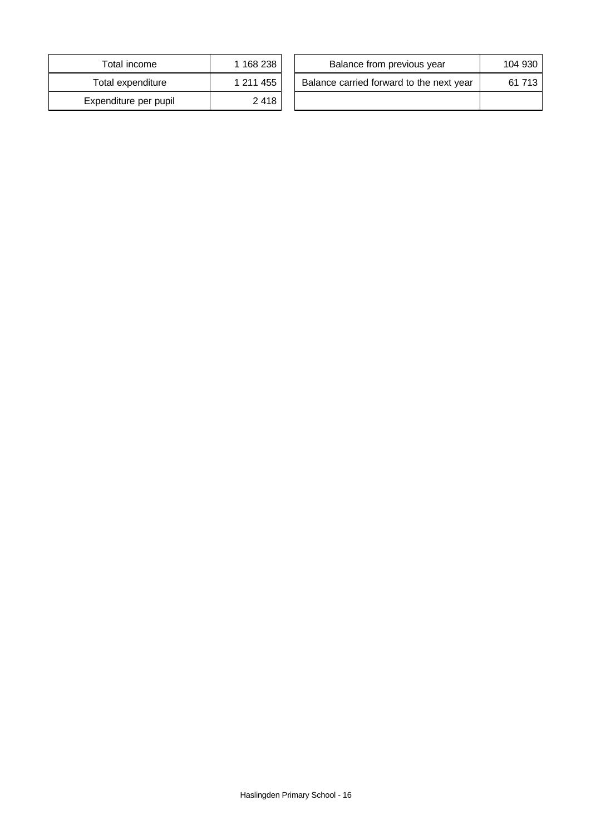| Total income          | 1 168 238 |
|-----------------------|-----------|
| Total expenditure     | 1 211 455 |
| Expenditure per pupil | 2418      |

| Total income         | 1 168 238 | Balance from previous year               | 104 930 |
|----------------------|-----------|------------------------------------------|---------|
| Total expenditure    | 1 211 455 | Balance carried forward to the next year | 61 713  |
| xpenditure per pupil | 2 4 1 8   |                                          |         |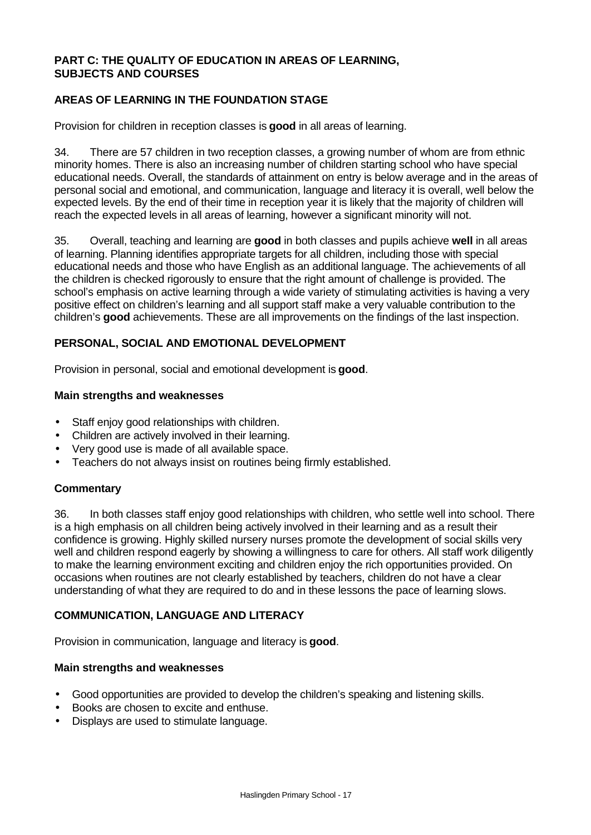#### **PART C: THE QUALITY OF EDUCATION IN AREAS OF LEARNING, SUBJECTS AND COURSES**

## **AREAS OF LEARNING IN THE FOUNDATION STAGE**

Provision for children in reception classes is **good** in all areas of learning.

34. There are 57 children in two reception classes, a growing number of whom are from ethnic minority homes. There is also an increasing number of children starting school who have special educational needs. Overall, the standards of attainment on entry is below average and in the areas of personal social and emotional, and communication, language and literacy it is overall, well below the expected levels. By the end of their time in reception year it is likely that the majority of children will reach the expected levels in all areas of learning, however a significant minority will not.

35. Overall, teaching and learning are **good** in both classes and pupils achieve **well** in all areas of learning. Planning identifies appropriate targets for all children, including those with special educational needs and those who have English as an additional language. The achievements of all the children is checked rigorously to ensure that the right amount of challenge is provided. The school's emphasis on active learning through a wide variety of stimulating activities is having a very positive effect on children's learning and all support staff make a very valuable contribution to the children's **good** achievements. These are all improvements on the findings of the last inspection.

## **PERSONAL, SOCIAL AND EMOTIONAL DEVELOPMENT**

Provision in personal, social and emotional development is **good**.

#### **Main strengths and weaknesses**

- Staff enjoy good relationships with children.
- Children are actively involved in their learning.
- Very good use is made of all available space.
- Teachers do not always insist on routines being firmly established.

#### **Commentary**

36. In both classes staff enjoy good relationships with children, who settle well into school. There is a high emphasis on all children being actively involved in their learning and as a result their confidence is growing. Highly skilled nursery nurses promote the development of social skills very well and children respond eagerly by showing a willingness to care for others. All staff work diligently to make the learning environment exciting and children enjoy the rich opportunities provided. On occasions when routines are not clearly established by teachers, children do not have a clear understanding of what they are required to do and in these lessons the pace of learning slows.

## **COMMUNICATION, LANGUAGE AND LITERACY**

Provision in communication, language and literacy is **good**.

#### **Main strengths and weaknesses**

- Good opportunities are provided to develop the children's speaking and listening skills.
- Books are chosen to excite and enthuse.
- Displays are used to stimulate language.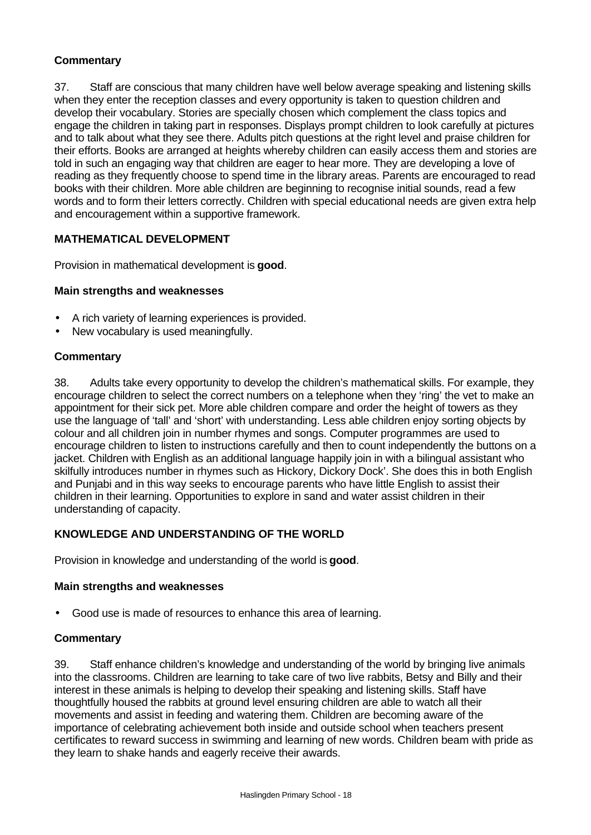## **Commentary**

37. Staff are conscious that many children have well below average speaking and listening skills when they enter the reception classes and every opportunity is taken to question children and develop their vocabulary. Stories are specially chosen which complement the class topics and engage the children in taking part in responses. Displays prompt children to look carefully at pictures and to talk about what they see there. Adults pitch questions at the right level and praise children for their efforts. Books are arranged at heights whereby children can easily access them and stories are told in such an engaging way that children are eager to hear more. They are developing a love of reading as they frequently choose to spend time in the library areas. Parents are encouraged to read books with their children. More able children are beginning to recognise initial sounds, read a few words and to form their letters correctly. Children with special educational needs are given extra help and encouragement within a supportive framework.

## **MATHEMATICAL DEVELOPMENT**

Provision in mathematical development is **good**.

## **Main strengths and weaknesses**

- A rich variety of learning experiences is provided.
- New vocabulary is used meaningfully.

## **Commentary**

38. Adults take every opportunity to develop the children's mathematical skills. For example, they encourage children to select the correct numbers on a telephone when they 'ring' the vet to make an appointment for their sick pet. More able children compare and order the height of towers as they use the language of 'tall' and 'short' with understanding. Less able children enjoy sorting objects by colour and all children join in number rhymes and songs. Computer programmes are used to encourage children to listen to instructions carefully and then to count independently the buttons on a jacket. Children with English as an additional language happily join in with a bilingual assistant who skilfully introduces number in rhymes such as Hickory, Dickory Dock'. She does this in both English and Punjabi and in this way seeks to encourage parents who have little English to assist their children in their learning. Opportunities to explore in sand and water assist children in their understanding of capacity.

#### **KNOWLEDGE AND UNDERSTANDING OF THE WORLD**

Provision in knowledge and understanding of the world is **good**.

#### **Main strengths and weaknesses**

• Good use is made of resources to enhance this area of learning.

#### **Commentary**

39. Staff enhance children's knowledge and understanding of the world by bringing live animals into the classrooms. Children are learning to take care of two live rabbits, Betsy and Billy and their interest in these animals is helping to develop their speaking and listening skills. Staff have thoughtfully housed the rabbits at ground level ensuring children are able to watch all their movements and assist in feeding and watering them. Children are becoming aware of the importance of celebrating achievement both inside and outside school when teachers present certificates to reward success in swimming and learning of new words. Children beam with pride as they learn to shake hands and eagerly receive their awards.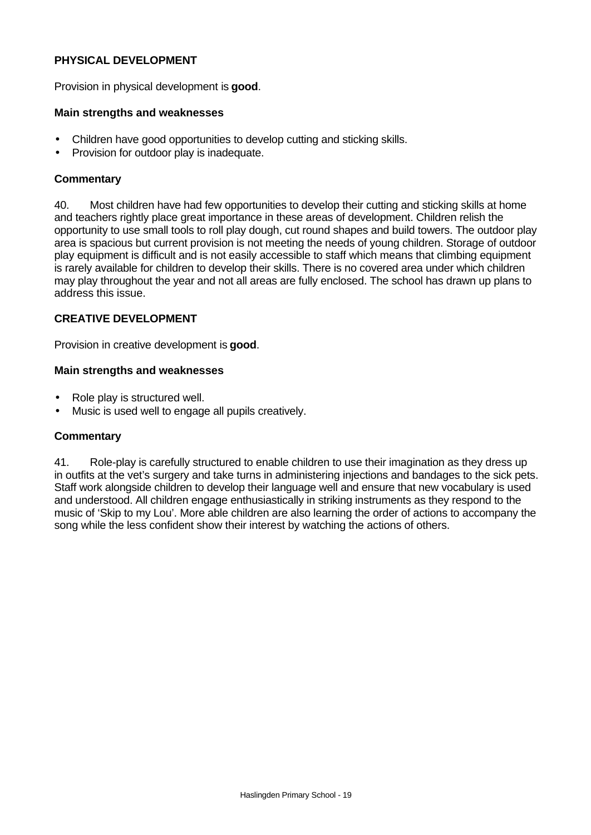#### **PHYSICAL DEVELOPMENT**

Provision in physical development is **good**.

#### **Main strengths and weaknesses**

- Children have good opportunities to develop cutting and sticking skills.
- Provision for outdoor play is inadequate.

#### **Commentary**

40. Most children have had few opportunities to develop their cutting and sticking skills at home and teachers rightly place great importance in these areas of development. Children relish the opportunity to use small tools to roll play dough, cut round shapes and build towers. The outdoor play area is spacious but current provision is not meeting the needs of young children. Storage of outdoor play equipment is difficult and is not easily accessible to staff which means that climbing equipment is rarely available for children to develop their skills. There is no covered area under which children may play throughout the year and not all areas are fully enclosed. The school has drawn up plans to address this issue.

## **CREATIVE DEVELOPMENT**

Provision in creative development is **good**.

#### **Main strengths and weaknesses**

- Role play is structured well.
- Music is used well to engage all pupils creatively.

#### **Commentary**

41. Role-play is carefully structured to enable children to use their imagination as they dress up in outfits at the vet's surgery and take turns in administering injections and bandages to the sick pets. Staff work alongside children to develop their language well and ensure that new vocabulary is used and understood. All children engage enthusiastically in striking instruments as they respond to the music of 'Skip to my Lou'. More able children are also learning the order of actions to accompany the song while the less confident show their interest by watching the actions of others.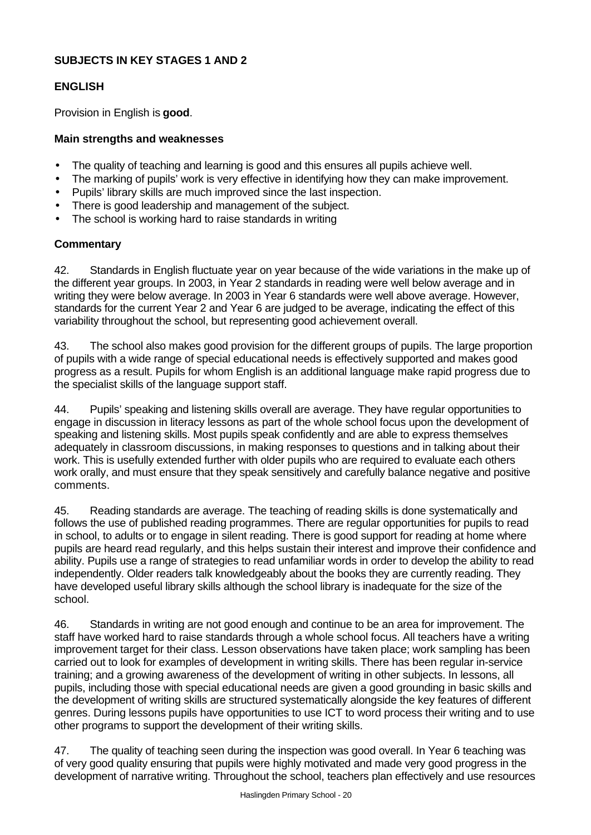## **SUBJECTS IN KEY STAGES 1 AND 2**

## **ENGLISH**

Provision in English is **good**.

#### **Main strengths and weaknesses**

- The quality of teaching and learning is good and this ensures all pupils achieve well.
- The marking of pupils' work is very effective in identifying how they can make improvement.
- Pupils' library skills are much improved since the last inspection.
- There is good leadership and management of the subject.
- The school is working hard to raise standards in writing

#### **Commentary**

42. Standards in English fluctuate year on year because of the wide variations in the make up of the different year groups. In 2003, in Year 2 standards in reading were well below average and in writing they were below average. In 2003 in Year 6 standards were well above average. However, standards for the current Year 2 and Year 6 are judged to be average, indicating the effect of this variability throughout the school, but representing good achievement overall.

43. The school also makes good provision for the different groups of pupils. The large proportion of pupils with a wide range of special educational needs is effectively supported and makes good progress as a result. Pupils for whom English is an additional language make rapid progress due to the specialist skills of the language support staff.

44. Pupils' speaking and listening skills overall are average. They have regular opportunities to engage in discussion in literacy lessons as part of the whole school focus upon the development of speaking and listening skills. Most pupils speak confidently and are able to express themselves adequately in classroom discussions, in making responses to questions and in talking about their work. This is usefully extended further with older pupils who are required to evaluate each others work orally, and must ensure that they speak sensitively and carefully balance negative and positive comments.

45. Reading standards are average. The teaching of reading skills is done systematically and follows the use of published reading programmes. There are regular opportunities for pupils to read in school, to adults or to engage in silent reading. There is good support for reading at home where pupils are heard read regularly, and this helps sustain their interest and improve their confidence and ability. Pupils use a range of strategies to read unfamiliar words in order to develop the ability to read independently. Older readers talk knowledgeably about the books they are currently reading. They have developed useful library skills although the school library is inadequate for the size of the school.

46. Standards in writing are not good enough and continue to be an area for improvement. The staff have worked hard to raise standards through a whole school focus. All teachers have a writing improvement target for their class. Lesson observations have taken place; work sampling has been carried out to look for examples of development in writing skills. There has been regular in-service training; and a growing awareness of the development of writing in other subjects. In lessons, all pupils, including those with special educational needs are given a good grounding in basic skills and the development of writing skills are structured systematically alongside the key features of different genres. During lessons pupils have opportunities to use ICT to word process their writing and to use other programs to support the development of their writing skills.

47. The quality of teaching seen during the inspection was good overall. In Year 6 teaching was of very good quality ensuring that pupils were highly motivated and made very good progress in the development of narrative writing. Throughout the school, teachers plan effectively and use resources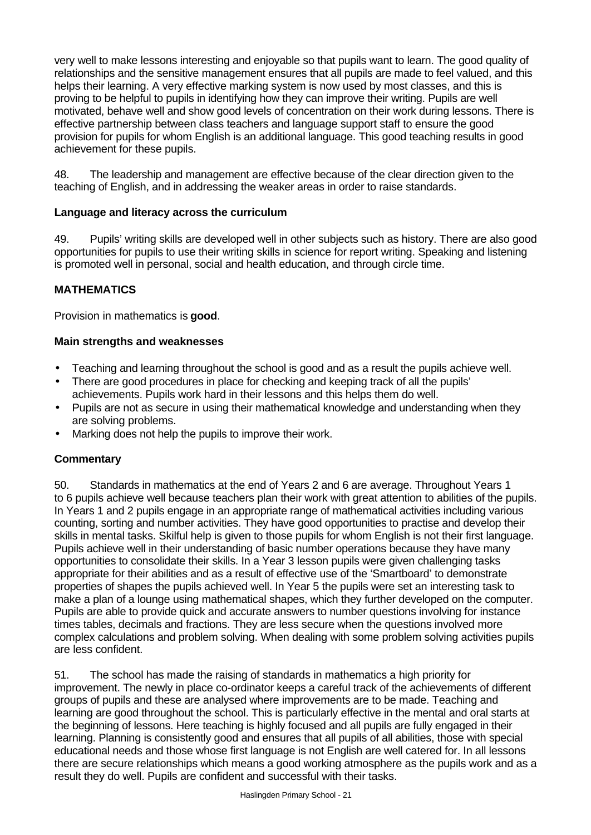very well to make lessons interesting and enjoyable so that pupils want to learn. The good quality of relationships and the sensitive management ensures that all pupils are made to feel valued, and this helps their learning. A very effective marking system is now used by most classes, and this is proving to be helpful to pupils in identifying how they can improve their writing. Pupils are well motivated, behave well and show good levels of concentration on their work during lessons. There is effective partnership between class teachers and language support staff to ensure the good provision for pupils for whom English is an additional language. This good teaching results in good achievement for these pupils.

48. The leadership and management are effective because of the clear direction given to the teaching of English, and in addressing the weaker areas in order to raise standards.

## **Language and literacy across the curriculum**

49. Pupils' writing skills are developed well in other subjects such as history. There are also good opportunities for pupils to use their writing skills in science for report writing. Speaking and listening is promoted well in personal, social and health education, and through circle time.

## **MATHEMATICS**

Provision in mathematics is **good**.

#### **Main strengths and weaknesses**

- Teaching and learning throughout the school is good and as a result the pupils achieve well.
- There are good procedures in place for checking and keeping track of all the pupils' achievements. Pupils work hard in their lessons and this helps them do well.
- Pupils are not as secure in using their mathematical knowledge and understanding when they are solving problems.
- Marking does not help the pupils to improve their work.

#### **Commentary**

50. Standards in mathematics at the end of Years 2 and 6 are average. Throughout Years 1 to 6 pupils achieve well because teachers plan their work with great attention to abilities of the pupils. In Years 1 and 2 pupils engage in an appropriate range of mathematical activities including various counting, sorting and number activities. They have good opportunities to practise and develop their skills in mental tasks. Skilful help is given to those pupils for whom English is not their first language. Pupils achieve well in their understanding of basic number operations because they have many opportunities to consolidate their skills. In a Year 3 lesson pupils were given challenging tasks appropriate for their abilities and as a result of effective use of the 'Smartboard' to demonstrate properties of shapes the pupils achieved well. In Year 5 the pupils were set an interesting task to make a plan of a lounge using mathematical shapes, which they further developed on the computer. Pupils are able to provide quick and accurate answers to number questions involving for instance times tables, decimals and fractions. They are less secure when the questions involved more complex calculations and problem solving. When dealing with some problem solving activities pupils are less confident.

51. The school has made the raising of standards in mathematics a high priority for improvement. The newly in place co-ordinator keeps a careful track of the achievements of different groups of pupils and these are analysed where improvements are to be made. Teaching and learning are good throughout the school. This is particularly effective in the mental and oral starts at the beginning of lessons. Here teaching is highly focused and all pupils are fully engaged in their learning. Planning is consistently good and ensures that all pupils of all abilities, those with special educational needs and those whose first language is not English are well catered for. In all lessons there are secure relationships which means a good working atmosphere as the pupils work and as a result they do well. Pupils are confident and successful with their tasks.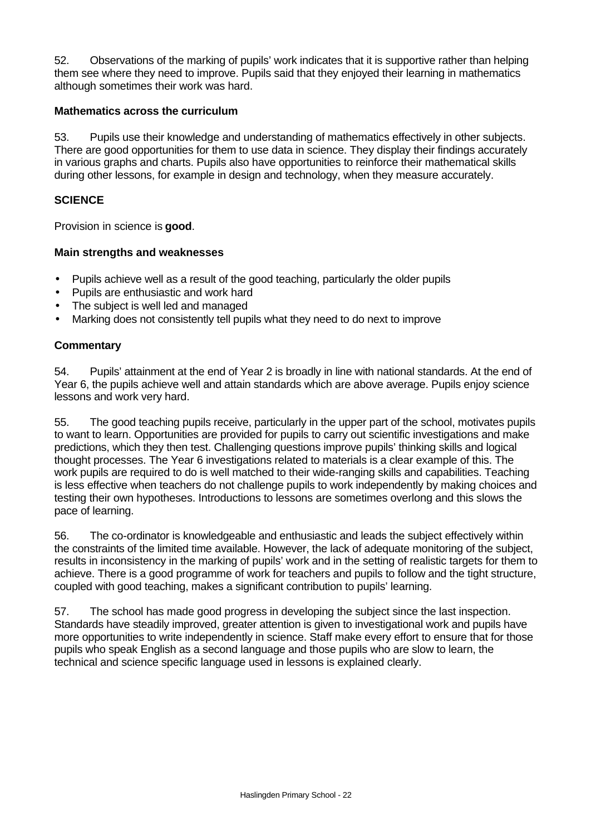52. Observations of the marking of pupils' work indicates that it is supportive rather than helping them see where they need to improve. Pupils said that they enjoyed their learning in mathematics although sometimes their work was hard.

#### **Mathematics across the curriculum**

53. Pupils use their knowledge and understanding of mathematics effectively in other subjects. There are good opportunities for them to use data in science. They display their findings accurately in various graphs and charts. Pupils also have opportunities to reinforce their mathematical skills during other lessons, for example in design and technology, when they measure accurately.

#### **SCIENCE**

Provision in science is **good**.

#### **Main strengths and weaknesses**

- Pupils achieve well as a result of the good teaching, particularly the older pupils
- Pupils are enthusiastic and work hard
- The subject is well led and managed
- Marking does not consistently tell pupils what they need to do next to improve

#### **Commentary**

54. Pupils' attainment at the end of Year 2 is broadly in line with national standards. At the end of Year 6, the pupils achieve well and attain standards which are above average. Pupils enjoy science lessons and work very hard.

55. The good teaching pupils receive, particularly in the upper part of the school, motivates pupils to want to learn. Opportunities are provided for pupils to carry out scientific investigations and make predictions, which they then test. Challenging questions improve pupils' thinking skills and logical thought processes. The Year 6 investigations related to materials is a clear example of this. The work pupils are required to do is well matched to their wide-ranging skills and capabilities. Teaching is less effective when teachers do not challenge pupils to work independently by making choices and testing their own hypotheses. Introductions to lessons are sometimes overlong and this slows the pace of learning.

56. The co-ordinator is knowledgeable and enthusiastic and leads the subject effectively within the constraints of the limited time available. However, the lack of adequate monitoring of the subject, results in inconsistency in the marking of pupils' work and in the setting of realistic targets for them to achieve. There is a good programme of work for teachers and pupils to follow and the tight structure, coupled with good teaching, makes a significant contribution to pupils' learning.

57. The school has made good progress in developing the subject since the last inspection. Standards have steadily improved, greater attention is given to investigational work and pupils have more opportunities to write independently in science. Staff make every effort to ensure that for those pupils who speak English as a second language and those pupils who are slow to learn, the technical and science specific language used in lessons is explained clearly.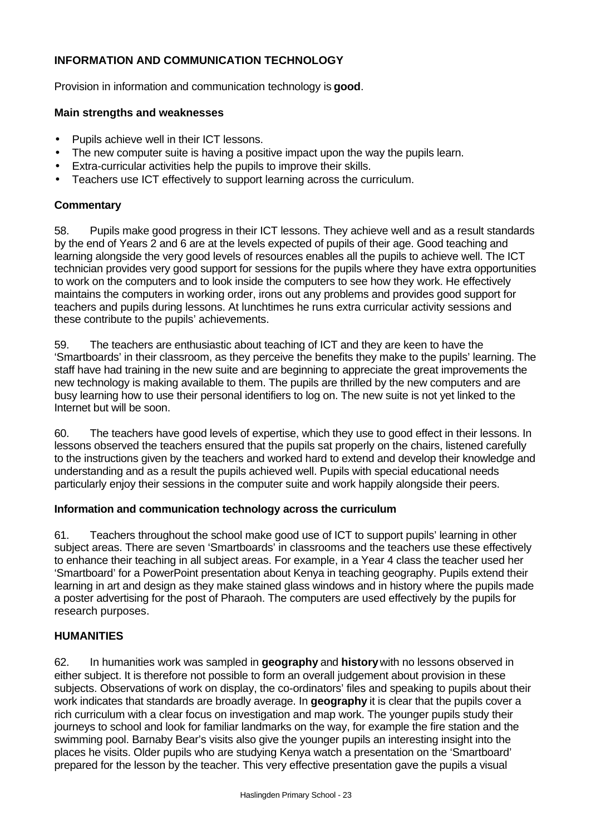## **INFORMATION AND COMMUNICATION TECHNOLOGY**

Provision in information and communication technology is **good**.

#### **Main strengths and weaknesses**

- Pupils achieve well in their ICT lessons.
- The new computer suite is having a positive impact upon the way the pupils learn.
- Extra-curricular activities help the pupils to improve their skills.
- Teachers use ICT effectively to support learning across the curriculum.

## **Commentary**

58. Pupils make good progress in their ICT lessons. They achieve well and as a result standards by the end of Years 2 and 6 are at the levels expected of pupils of their age. Good teaching and learning alongside the very good levels of resources enables all the pupils to achieve well. The ICT technician provides very good support for sessions for the pupils where they have extra opportunities to work on the computers and to look inside the computers to see how they work. He effectively maintains the computers in working order, irons out any problems and provides good support for teachers and pupils during lessons. At lunchtimes he runs extra curricular activity sessions and these contribute to the pupils' achievements.

59. The teachers are enthusiastic about teaching of ICT and they are keen to have the 'Smartboards' in their classroom, as they perceive the benefits they make to the pupils' learning. The staff have had training in the new suite and are beginning to appreciate the great improvements the new technology is making available to them. The pupils are thrilled by the new computers and are busy learning how to use their personal identifiers to log on. The new suite is not yet linked to the Internet but will be soon.

60. The teachers have good levels of expertise, which they use to good effect in their lessons. In lessons observed the teachers ensured that the pupils sat properly on the chairs, listened carefully to the instructions given by the teachers and worked hard to extend and develop their knowledge and understanding and as a result the pupils achieved well. Pupils with special educational needs particularly enjoy their sessions in the computer suite and work happily alongside their peers.

#### **Information and communication technology across the curriculum**

61. Teachers throughout the school make good use of ICT to support pupils' learning in other subject areas. There are seven 'Smartboards' in classrooms and the teachers use these effectively to enhance their teaching in all subject areas. For example, in a Year 4 class the teacher used her 'Smartboard' for a PowerPoint presentation about Kenya in teaching geography. Pupils extend their learning in art and design as they make stained glass windows and in history where the pupils made a poster advertising for the post of Pharaoh. The computers are used effectively by the pupils for research purposes.

## **HUMANITIES**

62. In humanities work was sampled in **geography** and **history** with no lessons observed in either subject. It is therefore not possible to form an overall judgement about provision in these subjects. Observations of work on display, the co-ordinators' files and speaking to pupils about their work indicates that standards are broadly average. In **geography** it is clear that the pupils cover a rich curriculum with a clear focus on investigation and map work. The younger pupils study their journeys to school and look for familiar landmarks on the way, for example the fire station and the swimming pool. Barnaby Bear's visits also give the younger pupils an interesting insight into the places he visits. Older pupils who are studying Kenya watch a presentation on the 'Smartboard' prepared for the lesson by the teacher. This very effective presentation gave the pupils a visual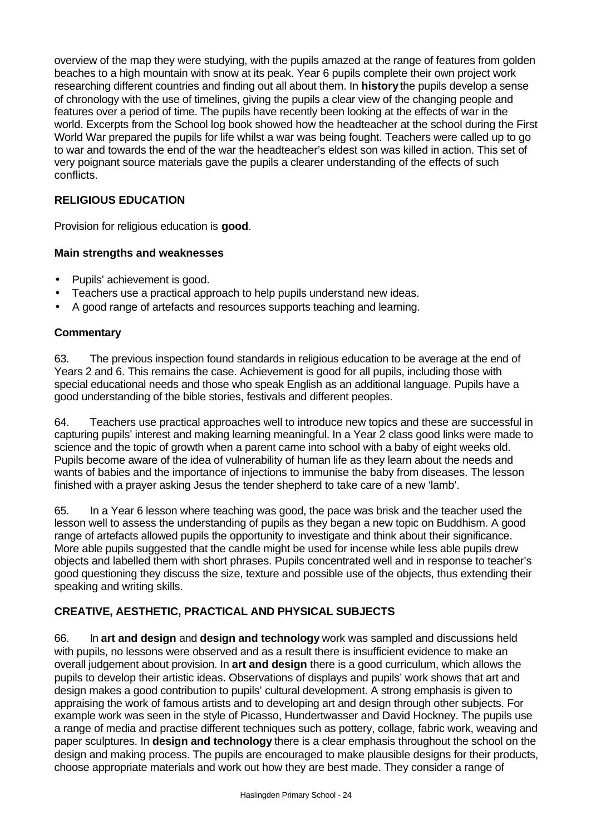overview of the map they were studying, with the pupils amazed at the range of features from golden beaches to a high mountain with snow at its peak. Year 6 pupils complete their own project work researching different countries and finding out all about them. In **history** the pupils develop a sense of chronology with the use of timelines, giving the pupils a clear view of the changing people and features over a period of time. The pupils have recently been looking at the effects of war in the world. Excerpts from the School log book showed how the headteacher at the school during the First World War prepared the pupils for life whilst a war was being fought. Teachers were called up to go to war and towards the end of the war the headteacher's eldest son was killed in action. This set of very poignant source materials gave the pupils a clearer understanding of the effects of such conflicts.

## **RELIGIOUS EDUCATION**

Provision for religious education is **good**.

#### **Main strengths and weaknesses**

- Pupils' achievement is good.
- Teachers use a practical approach to help pupils understand new ideas.
- A good range of artefacts and resources supports teaching and learning.

#### **Commentary**

63. The previous inspection found standards in religious education to be average at the end of Years 2 and 6. This remains the case. Achievement is good for all pupils, including those with special educational needs and those who speak English as an additional language. Pupils have a good understanding of the bible stories, festivals and different peoples.

64. Teachers use practical approaches well to introduce new topics and these are successful in capturing pupils' interest and making learning meaningful. In a Year 2 class good links were made to science and the topic of growth when a parent came into school with a baby of eight weeks old. Pupils become aware of the idea of vulnerability of human life as they learn about the needs and wants of babies and the importance of injections to immunise the baby from diseases. The lesson finished with a prayer asking Jesus the tender shepherd to take care of a new 'lamb'.

65. In a Year 6 lesson where teaching was good, the pace was brisk and the teacher used the lesson well to assess the understanding of pupils as they began a new topic on Buddhism. A good range of artefacts allowed pupils the opportunity to investigate and think about their significance. More able pupils suggested that the candle might be used for incense while less able pupils drew objects and labelled them with short phrases. Pupils concentrated well and in response to teacher's good questioning they discuss the size, texture and possible use of the objects, thus extending their speaking and writing skills.

## **CREATIVE, AESTHETIC, PRACTICAL AND PHYSICAL SUBJECTS**

66. In **art and design** and **design and technology** work was sampled and discussions held with pupils, no lessons were observed and as a result there is insufficient evidence to make an overall judgement about provision. In **art and design** there is a good curriculum, which allows the pupils to develop their artistic ideas. Observations of displays and pupils' work shows that art and design makes a good contribution to pupils' cultural development. A strong emphasis is given to appraising the work of famous artists and to developing art and design through other subjects. For example work was seen in the style of Picasso, Hundertwasser and David Hockney. The pupils use a range of media and practise different techniques such as pottery, collage, fabric work, weaving and paper sculptures. In **design and technology** there is a clear emphasis throughout the school on the design and making process. The pupils are encouraged to make plausible designs for their products, choose appropriate materials and work out how they are best made. They consider a range of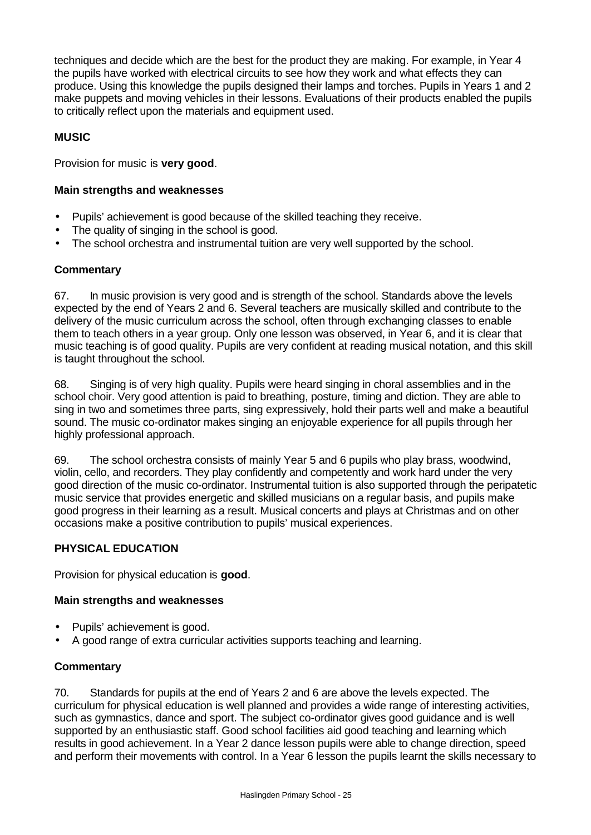techniques and decide which are the best for the product they are making. For example, in Year 4 the pupils have worked with electrical circuits to see how they work and what effects they can produce. Using this knowledge the pupils designed their lamps and torches. Pupils in Years 1 and 2 make puppets and moving vehicles in their lessons. Evaluations of their products enabled the pupils to critically reflect upon the materials and equipment used.

## **MUSIC**

Provision for music is **very good**.

## **Main strengths and weaknesses**

- Pupils' achievement is good because of the skilled teaching they receive.
- The quality of singing in the school is good.
- The school orchestra and instrumental tuition are very well supported by the school.

## **Commentary**

67. In music provision is very good and is strength of the school. Standards above the levels expected by the end of Years 2 and 6. Several teachers are musically skilled and contribute to the delivery of the music curriculum across the school, often through exchanging classes to enable them to teach others in a year group. Only one lesson was observed, in Year 6, and it is clear that music teaching is of good quality. Pupils are very confident at reading musical notation, and this skill is taught throughout the school.

68. Singing is of very high quality. Pupils were heard singing in choral assemblies and in the school choir. Very good attention is paid to breathing, posture, timing and diction. They are able to sing in two and sometimes three parts, sing expressively, hold their parts well and make a beautiful sound. The music co-ordinator makes singing an enjoyable experience for all pupils through her highly professional approach.

69. The school orchestra consists of mainly Year 5 and 6 pupils who play brass, woodwind, violin, cello, and recorders. They play confidently and competently and work hard under the very good direction of the music co-ordinator. Instrumental tuition is also supported through the peripatetic music service that provides energetic and skilled musicians on a regular basis, and pupils make good progress in their learning as a result. Musical concerts and plays at Christmas and on other occasions make a positive contribution to pupils' musical experiences.

## **PHYSICAL EDUCATION**

Provision for physical education is **good**.

## **Main strengths and weaknesses**

- Pupils' achievement is good.
- A good range of extra curricular activities supports teaching and learning.

## **Commentary**

70. Standards for pupils at the end of Years 2 and 6 are above the levels expected. The curriculum for physical education is well planned and provides a wide range of interesting activities, such as gymnastics, dance and sport. The subject co-ordinator gives good guidance and is well supported by an enthusiastic staff. Good school facilities aid good teaching and learning which results in good achievement. In a Year 2 dance lesson pupils were able to change direction, speed and perform their movements with control. In a Year 6 lesson the pupils learnt the skills necessary to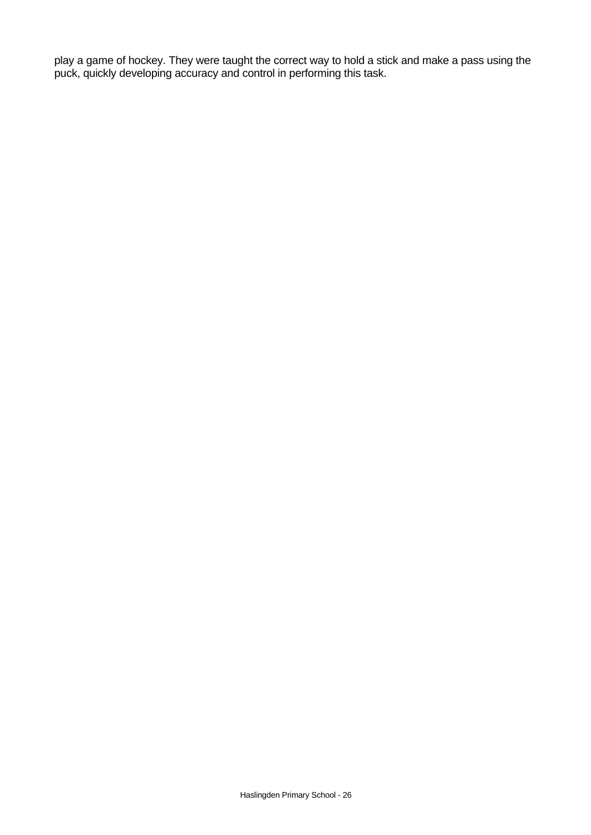play a game of hockey. They were taught the correct way to hold a stick and make a pass using the puck, quickly developing accuracy and control in performing this task.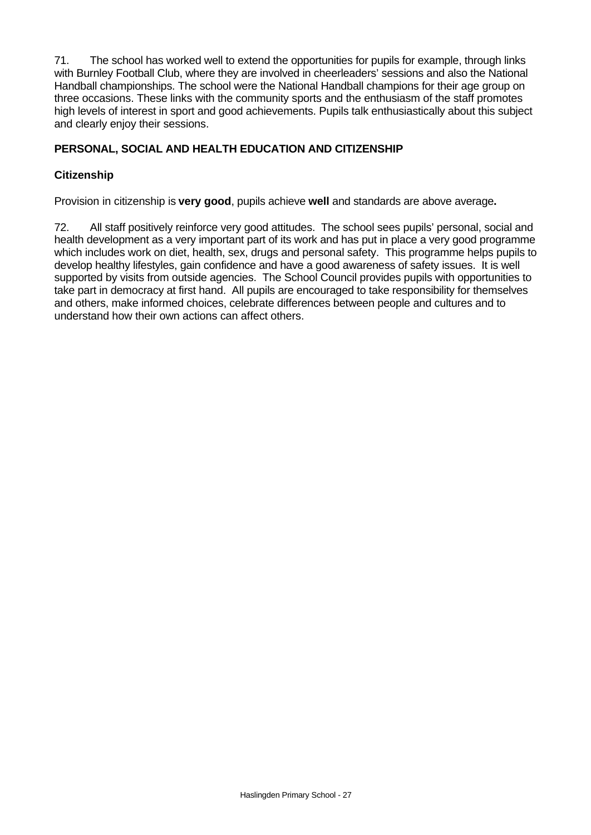71. The school has worked well to extend the opportunities for pupils for example, through links with Burnley Football Club, where they are involved in cheerleaders' sessions and also the National Handball championships. The school were the National Handball champions for their age group on three occasions. These links with the community sports and the enthusiasm of the staff promotes high levels of interest in sport and good achievements. Pupils talk enthusiastically about this subject and clearly enjoy their sessions.

## **PERSONAL, SOCIAL AND HEALTH EDUCATION AND CITIZENSHIP**

## **Citizenship**

Provision in citizenship is **very good**, pupils achieve **well** and standards are above average**.**

72. All staff positively reinforce very good attitudes. The school sees pupils' personal, social and health development as a very important part of its work and has put in place a very good programme which includes work on diet, health, sex, drugs and personal safety. This programme helps pupils to develop healthy lifestyles, gain confidence and have a good awareness of safety issues. It is well supported by visits from outside agencies. The School Council provides pupils with opportunities to take part in democracy at first hand. All pupils are encouraged to take responsibility for themselves and others, make informed choices, celebrate differences between people and cultures and to understand how their own actions can affect others.